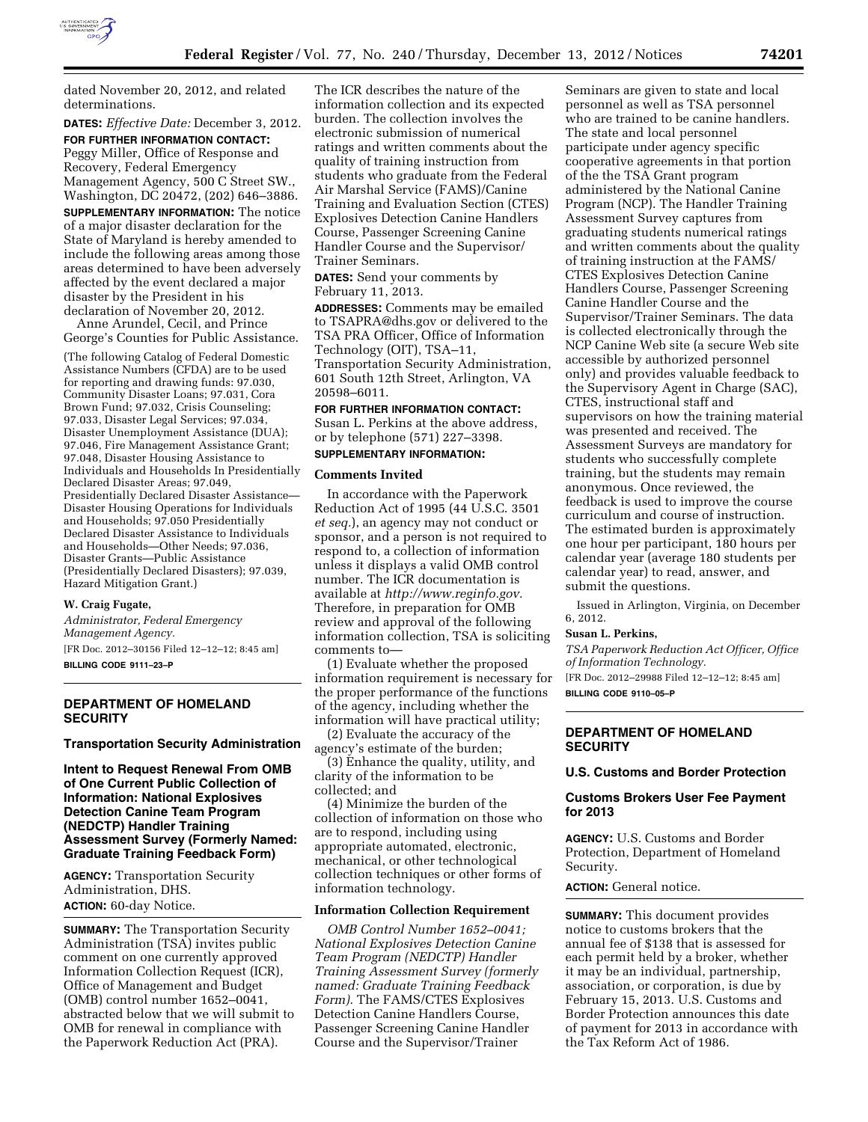

dated November 20, 2012, and related determinations.

**DATES:** *Effective Date:* December 3, 2012. **FOR FURTHER INFORMATION CONTACT:**  Peggy Miller, Office of Response and Recovery, Federal Emergency Management Agency, 500 C Street SW., Washington, DC 20472, (202) 646–3886. **SUPPLEMENTARY INFORMATION:** The notice of a major disaster declaration for the State of Maryland is hereby amended to include the following areas among those areas determined to have been adversely affected by the event declared a major disaster by the President in his declaration of November 20, 2012.

Anne Arundel, Cecil, and Prince George's Counties for Public Assistance.

(The following Catalog of Federal Domestic Assistance Numbers (CFDA) are to be used for reporting and drawing funds: 97.030, Community Disaster Loans; 97.031, Cora Brown Fund; 97.032, Crisis Counseling; 97.033, Disaster Legal Services; 97.034, Disaster Unemployment Assistance (DUA); 97.046, Fire Management Assistance Grant; 97.048, Disaster Housing Assistance to Individuals and Households In Presidentially Declared Disaster Areas; 97.049, Presidentially Declared Disaster Assistance— Disaster Housing Operations for Individuals and Households; 97.050 Presidentially Declared Disaster Assistance to Individuals and Households—Other Needs; 97.036, Disaster Grants—Public Assistance (Presidentially Declared Disasters); 97.039, Hazard Mitigation Grant.)

# **W. Craig Fugate,**

*Administrator, Federal Emergency Management Agency.*  [FR Doc. 2012–30156 Filed 12–12–12; 8:45 am]

**BILLING CODE 9111–23–P** 

# **DEPARTMENT OF HOMELAND SECURITY**

#### **Transportation Security Administration**

**Intent to Request Renewal From OMB of One Current Public Collection of Information: National Explosives Detection Canine Team Program (NEDCTP) Handler Training Assessment Survey (Formerly Named: Graduate Training Feedback Form)** 

**AGENCY:** Transportation Security Administration, DHS. **ACTION:** 60-day Notice.

**SUMMARY:** The Transportation Security Administration (TSA) invites public comment on one currently approved Information Collection Request (ICR), Office of Management and Budget (OMB) control number 1652–0041, abstracted below that we will submit to OMB for renewal in compliance with the Paperwork Reduction Act (PRA).

The ICR describes the nature of the information collection and its expected burden. The collection involves the electronic submission of numerical ratings and written comments about the quality of training instruction from students who graduate from the Federal Air Marshal Service (FAMS)/Canine Training and Evaluation Section (CTES) Explosives Detection Canine Handlers Course, Passenger Screening Canine Handler Course and the Supervisor/ Trainer Seminars.

**DATES:** Send your comments by February 11, 2013.

**ADDRESSES:** Comments may be emailed to [TSAPRA@dhs.gov](mailto:TSAPRA@dhs.gov) or delivered to the TSA PRA Officer, Office of Information Technology (OIT), TSA–11, Transportation Security Administration, 601 South 12th Street, Arlington, VA 20598–6011.

# **FOR FURTHER INFORMATION CONTACT:**

Susan L. Perkins at the above address, or by telephone (571) 227–3398. **SUPPLEMENTARY INFORMATION:** 

#### **Comments Invited**

In accordance with the Paperwork Reduction Act of 1995 (44 U.S.C. 3501 *et seq.*), an agency may not conduct or sponsor, and a person is not required to respond to, a collection of information unless it displays a valid OMB control number. The ICR documentation is available at *[http://www.reginfo.gov.](http://www.reginfo.gov)*  Therefore, in preparation for OMB review and approval of the following information collection, TSA is soliciting comments to—

(1) Evaluate whether the proposed information requirement is necessary for the proper performance of the functions of the agency, including whether the information will have practical utility;

(2) Evaluate the accuracy of the agency's estimate of the burden;

(3) Enhance the quality, utility, and clarity of the information to be collected; and

(4) Minimize the burden of the collection of information on those who are to respond, including using appropriate automated, electronic, mechanical, or other technological collection techniques or other forms of information technology.

#### **Information Collection Requirement**

*OMB Control Number 1652–0041; National Explosives Detection Canine Team Program (NEDCTP) Handler Training Assessment Survey (formerly named: Graduate Training Feedback Form).* The FAMS/CTES Explosives Detection Canine Handlers Course, Passenger Screening Canine Handler Course and the Supervisor/Trainer

Seminars are given to state and local personnel as well as TSA personnel who are trained to be canine handlers. The state and local personnel participate under agency specific cooperative agreements in that portion of the the TSA Grant program administered by the National Canine Program (NCP). The Handler Training Assessment Survey captures from graduating students numerical ratings and written comments about the quality of training instruction at the FAMS/ CTES Explosives Detection Canine Handlers Course, Passenger Screening Canine Handler Course and the Supervisor/Trainer Seminars. The data is collected electronically through the NCP Canine Web site (a secure Web site accessible by authorized personnel only) and provides valuable feedback to the Supervisory Agent in Charge (SAC), CTES, instructional staff and supervisors on how the training material was presented and received. The Assessment Surveys are mandatory for students who successfully complete training, but the students may remain anonymous. Once reviewed, the feedback is used to improve the course curriculum and course of instruction. The estimated burden is approximately one hour per participant, 180 hours per calendar year (average 180 students per calendar year) to read, answer, and submit the questions.

Issued in Arlington, Virginia, on December 6, 2012.

#### **Susan L. Perkins,**

*TSA Paperwork Reduction Act Officer, Office of Information Technology.*  [FR Doc. 2012–29988 Filed 12–12–12; 8:45 am]

**BILLING CODE 9110–05–P** 

# **DEPARTMENT OF HOMELAND SECURITY**

#### **U.S. Customs and Border Protection**

#### **Customs Brokers User Fee Payment for 2013**

**AGENCY:** U.S. Customs and Border Protection, Department of Homeland Security.

# **ACTION:** General notice.

**SUMMARY:** This document provides notice to customs brokers that the annual fee of \$138 that is assessed for each permit held by a broker, whether it may be an individual, partnership, association, or corporation, is due by February 15, 2013. U.S. Customs and Border Protection announces this date of payment for 2013 in accordance with the Tax Reform Act of 1986.